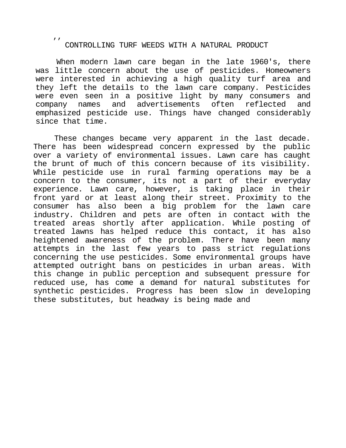CONTROLLING TURF WEEDS WITH A NATURAL PRODUCT

 $\mathbf{r}$ 

When modern lawn care began in the late 1960's, there was little concern about the use of pesticides. Homeowners were interested in achieving a high quality turf area and they left the details to the lawn care company. Pesticides were even seen in a positive light by many consumers and company names and advertisements often reflected and emphasized pesticide use. Things have changed considerably since that time.

These changes became very apparent in the last decade. There has been widespread concern expressed by the public over a variety of environmental issues. Lawn care has caught the brunt of much of this concern because of its visibility. While pesticide use in rural farming operations may be a concern to the consumer, its not a part of their everyday experience. Lawn care, however, is taking place in their front yard or at least along their street. Proximity to the consumer has also been a big problem for the lawn care industry. Children and pets are often in contact with the treated areas shortly after application. While posting of treated lawns has helped reduce this contact, it has also heightened awareness of the problem. There have been many attempts in the last few years to pass strict regulations concerning the use pesticides. Some environmental groups have attempted outright bans on pesticides in urban areas. With this change in public perception and subsequent pressure for reduced use, has come a demand for natural substitutes for synthetic pesticides. Progress has been slow in developing these substitutes, but headway is being made and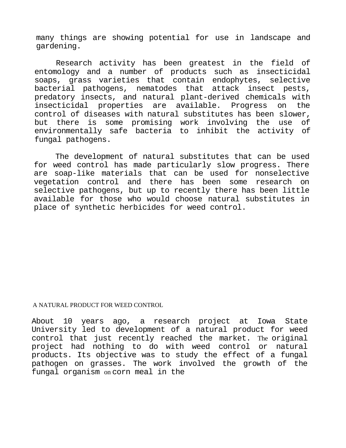many things are showing potential for use in landscape and gardening.

Research activity has been greatest in the field of entomology and a number of products such as insecticidal soaps, grass varieties that contain endophytes, selective bacterial pathogens, nematodes that attack insect pests, predatory insects, and natural plant-derived chemicals with insecticidal properties are available. Progress on the control of diseases with natural substitutes has been slower, but there is some promising work involving the use of environmentally safe bacteria to inhibit the activity of fungal pathogens.

The development of natural substitutes that can be used for weed control has made particularly slow progress. There are soap-like materials that can be used for nonselective vegetation control and there has been some research on selective pathogens, but up to recently there has been little available for those who would choose natural substitutes in place of synthetic herbicides for weed control.

## A NATURAL PRODUCT FOR WEED CONTROL

About 10 years ago, a research project at Iowa State University led to development of a natural product for weed control that just recently reached the market. The original project had nothing to do with weed control or natural products. Its objective was to study the effect of a fungal pathogen on grasses. The work involved the growth of the fungal organism on corn meal in the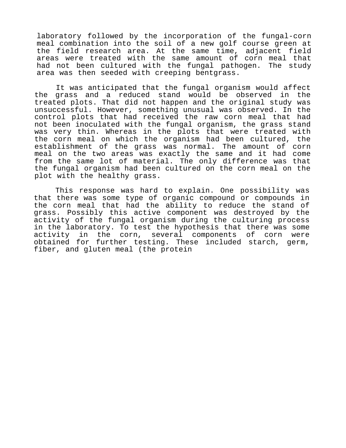laboratory followed by the incorporation of the fungal-corn meal combination into the soil of a new golf course green at the field research area. At the same time, adjacent field areas were treated with the same amount of corn meal that had not been cultured with the fungal pathogen. The study area was then seeded with creeping bentgrass.

It was anticipated that the fungal organism would affect the grass and a reduced stand would be observed in the treated plots. That did not happen and the original study was unsuccessful. However, something unusual was observed. In the control plots that had received the raw corn meal that had not been inoculated with the fungal organism, the grass stand was very thin. Whereas in the plots that were treated with the corn meal on which the organism had been cultured, the establishment of the grass was normal. The amount of corn meal on the two areas was exactly the same and it had come from the same lot of material. The only difference was that the fungal organism had been cultured on the corn meal on the plot with the healthy grass.

This response was hard to explain. One possibility was that there was some type of organic compound or compounds in the corn meal that had the ability to reduce the stand of grass. Possibly this active component was destroyed by the activity of the fungal organism during the culturing process in the laboratory. To test the hypothesis that there was some activity in the corn, several components of corn were obtained for further testing. These included starch, germ, fiber, and gluten meal (the protein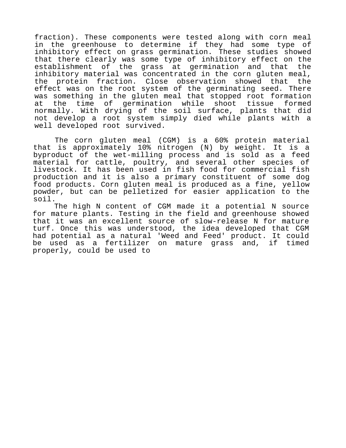fraction). These components were tested along with corn meal in the greenhouse to determine if they had some type of inhibitory effect on grass germination. These studies showed that there clearly was some type of inhibitory effect on the establishment of the grass at germination and that the inhibitory material was concentrated in the corn gluten meal, the protein fraction. Close observation showed that the effect was on the root system of the germinating seed. There was something in the gluten meal that stopped root formation at the time of germination while shoot tissue formed normally. With drying of the soil surface, plants that did not develop a root system simply died while plants with a well developed root survived.

The corn gluten meal (CGM) is a 60% protein material that is approximately 10% nitrogen (N) by weight. It is a byproduct of the wet-milling process and is sold as a feed material for cattle, poultry, and several other species of livestock. It has been used in fish food for commercial fish production and it is also a primary constituent of some dog food products. Corn gluten meal is produced as a fine, yellow powder, but can be pelletized for easier application to the soil.

The high N content of CGM made it a potential N source for mature plants. Testing in the field and greenhouse showed that it was an excellent source of slow-release N for mature turf. Once this was understood, the idea developed that CGM had potential as a natural 'Weed and Feed' product. It could be used as a fertilizer on mature grass and, if timed properly, could be used to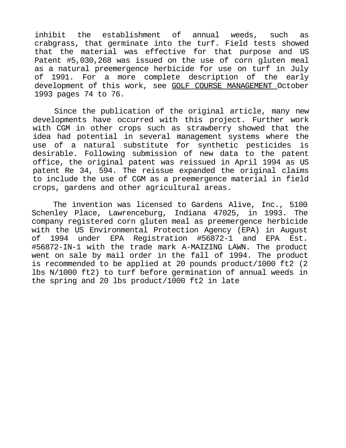inhibit the establishment of annual weeds, such as crabgrass, that germinate into the turf. Field tests showed that the material was effective for that purpose and US Patent #5,030,268 was issued on the use of corn gluten meal as a natural preemergence herbicide for use on turf in July of 1991. For a more complete description of the early development of this work, see GOLF COURSE MANAGEMENT October 1993 pages 74 to 76.

Since the publication of the original article, many new developments have occurred with this project. Further work with CGM in other crops such as strawberry showed that the idea had potential in several management systems where the use of a natural substitute for synthetic pesticides is desirable. Following submission of new data to the patent office, the original patent was reissued in April 1994 as US patent Re 34, 594. The reissue expanded the original claims to include the use of CGM as a preemergence material in field crops, gardens and other agricultural areas.

The invention was licensed to Gardens Alive, Inc., 5100 Schenley Place, Lawrenceburg, Indiana 47025, in 1993. The company registered corn gluten meal as preemergence herbicide with the US Environmental Protection Agency (EPA) in August of 1994 under EPA Registration #56872-1 and EPA Est. #56872-IN-1 with the trade mark A-MAIZING LAWN. The product went on sale by mail order in the fall of 1994. The product is recommended to be applied at 20 pounds product/1000 ft2 (2 lbs N/1000 ft2) to turf before germination of annual weeds in the spring and 20 lbs product/1000 ft2 in late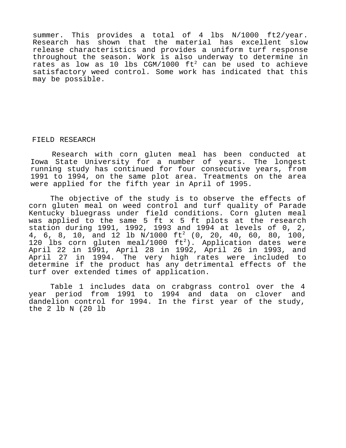summer. This provides a total of 4 lbs N/1000 ft2/year. Research has shown that the material has excellent slow release characteristics and provides a uniform turf response throughout the season. Work is also underway to determine in rates as low as 10 lbs CGM/1000  $\text{ft}^2$  can be used to achieve satisfactory weed control. Some work has indicated that this may be possible.

## FIELD RESEARCH

Research with corn gluten meal has been conducted at Iowa State University for a number of years. The longest running study has continued for four consecutive years, from 1991 to 1994, on the same plot area. Treatments on the area were applied for the fifth year in April of 1995.

The objective of the study is to observe the effects of corn gluten meal on weed control and turf quality of Parade Kentucky bluegrass under field conditions. Corn gluten meal was applied to the same 5 ft x 5 ft plots at the research station during 1991, 1992, 1993 and  $1994$  at levels of 0, 2, 4, 6, 8, 10, and 12 lb N/1000 ft<sup>2</sup> (0, 20, 40, 60, 80, 100, 120 lbs corn gluten meal/1000  $ft^2$ ). Application dates were April 22 in 1991, April 28 in 1992, April 26 in 1993, and April 27 in 1994. The very high rates were included to determine if the product has any detrimental effects of the turf over extended times of application.

Table 1 includes data on crabgrass control over the 4 year period from 1991 to 1994 and data on clover and dandelion control for 1994. In the first year of the study, the 2 lb N (20 lb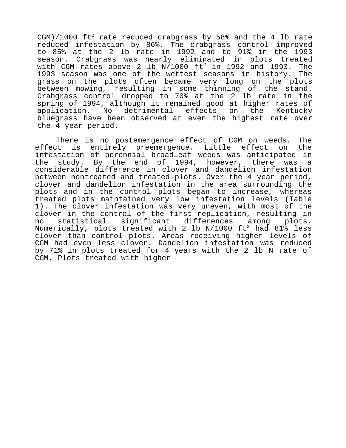CGM)/1000  $ft^2$  rate reduced crabgrass by 58% and the 4 lb rate reduced infestation by 86%. The crabgrass control improved to 85% at the 2 lb rate in 1992 and to 91% in the 1993 season. Crabgrass was nearly eliminated in plots treated with CGM rates above 2 lb  $N/1000$  ft<sup>2</sup> in 1992 and 1993. The 1993 season was one of the wettest seasons in history. The grass on the plots often became very long on the plots between mowing, resulting in some thinning of the stand. Crabgrass control dropped to 70% at the 2 lb rate in the spring of 1994, although it remained good at higher rates of application. No detrimental effects on the Kentucky bluegrass have been observed at even the highest rate over the 4 year period.

There is no postemergence effect of CGM on weeds. The effect is entirely preemergence. Little effect on the infestation of perennial broadleaf weeds was anticipated in the study. By the end of 1994, however, there was a considerable difference in clover and dandelion infestation between nontreated and treated plots. Over the 4 year period, clover and dandelion infestation in the area surrounding the plots and in the control plots began to increase, whereas treated plots maintained very low infestation levels (Table 1). The clover infestation was very uneven, with most of the clover in the control of the first replication, resulting in no statistical significant differences among plots. Numerically, plots treated with 2 lb N/1000  $\rm{ft^2}$  had 81% less clover than control plots. Areas receiving higher levels of CGM had even less clover. Dandelion infestation was reduced by 71% in plots treated for 4 years with the 2 lb N rate of CGM. Plots treated with higher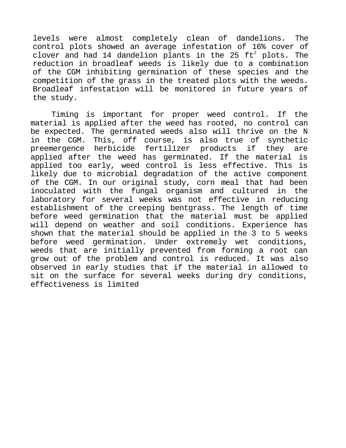levels were almost completely clean of dandelions. The control plots showed an average infestation of 16% cover of clover and had 14 dandelion plants in the 25  $\text{ft}^2$  plots. The reduction in broadleaf weeds is likely due to a combination of the CGM inhibiting germination of these species and the competition of the grass in the treated plots with the weeds. Broadleaf infestation will be monitored in future years of the study.

Timing is important for proper weed control. If the material is applied after the weed has rooted, no control can be expected. The germinated weeds also will thrive on the N in the CGM. This, off course, is also true of synthetic preemergence herbicide fertilizer products if they are applied after the weed has germinated. If the material is applied too early, weed control is less effective. This is likely due to microbial degradation of the active component of the CGM. In our original study, corn meal that had been inoculated with the fungal organism and cultured in the laboratory for several weeks was not effective in reducing establishment of the creeping bentgrass. The length of time before weed germination that the material must be applied will depend on weather and soil conditions. Experience has shown that the material should be applied in the 3 to 5 weeks before weed germination. Under extremely wet conditions, weeds that are initially prevented from forming a root can grow out of the problem and control is reduced. It was also observed in early studies that if the material in allowed to sit on the surface for several weeks during dry conditions, effectiveness is limited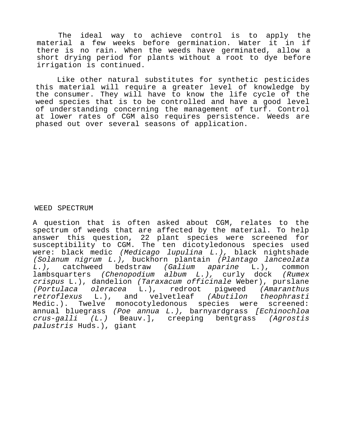The ideal way to achieve control is to apply the material a few weeks before germination. Water it in if there is no rain. When the weeds have germinated, allow a short drying period for plants without a root to dye before irrigation is continued.

Like other natural substitutes for synthetic pesticides this material will require a greater level of knowledge by the consumer. They will have to know the life cycle of the weed species that is to be controlled and have a good level of understanding concerning the management of turf. Control at lower rates of CGM also requires persistence. Weeds are phased out over several seasons of application.

WEED SPECTRUM

A question that is often asked about CGM, relates to the spectrum of weeds that are affected by the material. To help answer this question, 22 plant species were screened for susceptibility to CGM. The ten dicotyledonous species used were: black medic (Medicago lupulina L.), black nightshade (Solanum nigrum L.), buckhorn plantain (Plantago lanceolata L.), catchweed bedstraw (Galium aparine L.), common lambsquarters (Chenopodium album L.), curly dock (Rumex crispus L.), dandelion (Taraxacum officinale Weber), purslane (Portulaca oleracea L.), redroot pigweed (Amaranthus retroflexus L.), and velvetleaf (Abutilon theophrasti Medic.). Twelve monocotyledonous species were screened: annual bluegrass (Poe annua L.), barnyardgrass [Echinochloa crus-galli (L.) Beauv.], creeping bentgrass (Agrostis palustris Huds.), giant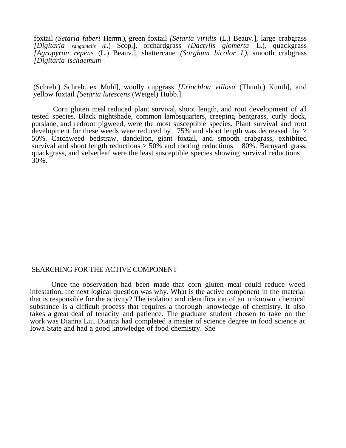foxtail *(Setaria faberi* Herrm.), green foxtail *[Setaria viridis* (L.) Beauv.], large crabgrass *[Digitaria sanguinalis (L*.) Scop.], orchardgrass *(Dactylis glomerta* L.), quackgrass *[Agropyron repens* (L.) Beauv.], shattercane *(Sorghum bicolor L),* smooth crabgrass *[Digitaria ischaemum*

(Schreb.) Schreb. ex Muhl], woolly cupgrass *[Eriochloa villosa* (Thunb.) Kunth], and yellow foxtail *[Setaria lutescens* (Weigel) Hubb.].

Corn gluten meal reduced plant survival, shoot length, and root development of all tested species. Black nightshade, common lambsquarters, creeping bentgrass, curly dock, purslane, and redroot pigweed, were the most susceptible species. Plant survival and root development for these weeds were reduced by  $75\%$  and shoot length was decreased by > 50%. Catchweed bedstraw, dandelion, giant foxtail, and smooth crabgrass, exhibited survival and shoot length reductions  $> 50\%$  and rooting reductions  $80\%$ . Barnyard grass, quackgrass, and velvetleaf were the least susceptible species showing survival reductions 30%.

## SEARCHING FOR THE ACTIVE COMPONENT

Once the observation had been made that corn gluten meal could reduce weed infestation, the next logical question was why. What is the active component in the material that is responsible for the activity? The isolation and identification of an unknown chemical substance is a difficult process that requires a thorough knowledge of chemistry. It also takes a great deal of tenacity and patience. The graduate student chosen to take on the work was Dianna Liu. Dianna had completed a master of science degree in food science at Iowa State and had a good knowledge of food chemistry. She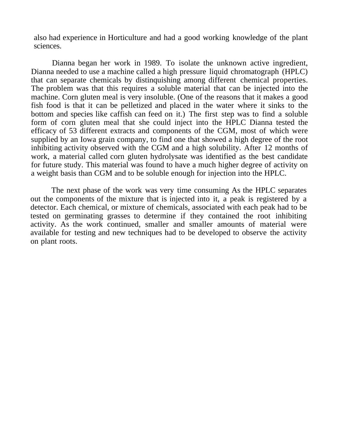also had experience in Horticulture and had a good working knowledge of the plant sciences.

Dianna began her work in 1989. To isolate the unknown active ingredient, Dianna needed to use a machine called a high pressure liquid chromatograph (HPLC) that can separate chemicals by distinquishing among different chemical properties. The problem was that this requires a soluble material that can be injected into the machine. Corn gluten meal is very insoluble. (One of the reasons that it makes a good fish food is that it can be pelletized and placed in the water where it sinks to the bottom and species like caffish can feed on it.) The first step was to find a soluble form of corn gluten meal that she could inject into the HPLC Dianna tested the efficacy of 53 different extracts and components of the CGM, most of which were supplied by an Iowa grain company, to find one that showed a high degree of the root inhibiting activity observed with the CGM and a high solubility. After 12 months of work, a material called corn gluten hydrolysate was identified as the best candidate for future study. This material was found to have a much higher degree of activity on a weight basis than CGM and to be soluble enough for injection into the HPLC.

The next phase of the work was very time consuming As the HPLC separates out the components of the mixture that is injected into it, a peak is registered by a detector. Each chemical, or mixture of chemicals, associated with each peak had to be tested on germinating grasses to determine if they contained the root inhibiting activity. As the work continued, smaller and smaller amounts of material were available for testing and new techniques had to be developed to observe the activity on plant roots.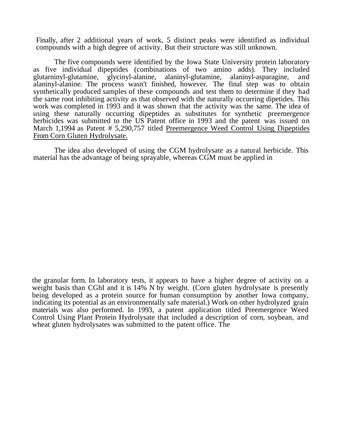Finally, after 2 additional years of work, 5 distinct peaks were identified as individual compounds with a high degree of activity. But their structure was still unknown.

The five compounds were identified by the Iowa State University protein laboratory as five individual dipeptides (combinations of two amino adds). They included glutarninyl-glutamine, glycinyl-alanine, alaninyl-glutamine, and glutarninyl-glutamine, glycinyl-alanine, alaninyl-glutamine, alaninyl-asparagine, and alaninyl-alanine. The process wasn't finished, however. The final step was to obtain synthetically produced samples of these compounds and test them to determine if they had the same root inhibiting activity as that observed with the naturally occurring dipetides. This work was completed in 1993 and it was shown that the activity was the same. The idea of using these naturally occurring dipeptides as substitutes for synthetic preemergence herbicides was submitted to the US Patent office in 1993 and the patent was issued on March 1,1994 as Patent # 5,290,757 titled Preemergence Weed Control Using Dipeptides From Corn Gluten Hydrolysate.

The idea also developed of using the CGM hydrolysate as a natural herbicide. This material has the advantage of being sprayable, whereas CGM must be applied in

the granular form. In laboratory tests, it appears to have a higher degree of activity on a weight basis than CGhI and it is 14% N by weight. (Corn gluten hydrolysate is presently being developed as a protein source for human consumption by another Iowa company, indicating its potential as an environmentally safe material.) Work on other hydrolyzed grain materials was also performed. In 1993, a patent application titled Preemergence Weed Control Using Plant Protein Hydrolysate that included a description of corn, soybean, and wheat gluten hydrolysates was submitted to the patent office. The